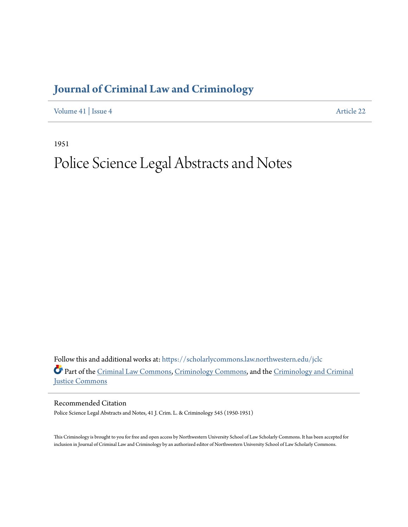## **[Journal of Criminal Law and Criminology](https://scholarlycommons.law.northwestern.edu/jclc?utm_source=scholarlycommons.law.northwestern.edu%2Fjclc%2Fvol41%2Fiss4%2F22&utm_medium=PDF&utm_campaign=PDFCoverPages)**

[Volume 41](https://scholarlycommons.law.northwestern.edu/jclc/vol41?utm_source=scholarlycommons.law.northwestern.edu%2Fjclc%2Fvol41%2Fiss4%2F22&utm_medium=PDF&utm_campaign=PDFCoverPages) | [Issue 4](https://scholarlycommons.law.northwestern.edu/jclc/vol41/iss4?utm_source=scholarlycommons.law.northwestern.edu%2Fjclc%2Fvol41%2Fiss4%2F22&utm_medium=PDF&utm_campaign=PDFCoverPages) [Article 22](https://scholarlycommons.law.northwestern.edu/jclc/vol41/iss4/22?utm_source=scholarlycommons.law.northwestern.edu%2Fjclc%2Fvol41%2Fiss4%2F22&utm_medium=PDF&utm_campaign=PDFCoverPages)

1951

## Police Science Legal Abstracts and Notes

Follow this and additional works at: [https://scholarlycommons.law.northwestern.edu/jclc](https://scholarlycommons.law.northwestern.edu/jclc?utm_source=scholarlycommons.law.northwestern.edu%2Fjclc%2Fvol41%2Fiss4%2F22&utm_medium=PDF&utm_campaign=PDFCoverPages) Part of the [Criminal Law Commons](http://network.bepress.com/hgg/discipline/912?utm_source=scholarlycommons.law.northwestern.edu%2Fjclc%2Fvol41%2Fiss4%2F22&utm_medium=PDF&utm_campaign=PDFCoverPages), [Criminology Commons](http://network.bepress.com/hgg/discipline/417?utm_source=scholarlycommons.law.northwestern.edu%2Fjclc%2Fvol41%2Fiss4%2F22&utm_medium=PDF&utm_campaign=PDFCoverPages), and the [Criminology and Criminal](http://network.bepress.com/hgg/discipline/367?utm_source=scholarlycommons.law.northwestern.edu%2Fjclc%2Fvol41%2Fiss4%2F22&utm_medium=PDF&utm_campaign=PDFCoverPages) [Justice Commons](http://network.bepress.com/hgg/discipline/367?utm_source=scholarlycommons.law.northwestern.edu%2Fjclc%2Fvol41%2Fiss4%2F22&utm_medium=PDF&utm_campaign=PDFCoverPages)

Recommended Citation

Police Science Legal Abstracts and Notes, 41 J. Crim. L. & Criminology 545 (1950-1951)

This Criminology is brought to you for free and open access by Northwestern University School of Law Scholarly Commons. It has been accepted for inclusion in Journal of Criminal Law and Criminology by an authorized editor of Northwestern University School of Law Scholarly Commons.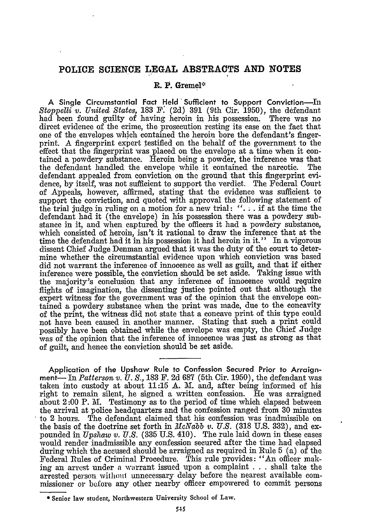## **POLICE SCIENCE LEGAL ABSTRACTS AND NOTES**

## **R. P. Gremel\***

**A Single Circumstantial Fact Held Sufficient to Support Conviction-L** *Stoppelli v. United States,* **183** F: **(2d) 391** (9th Cir. 1950), the defendant had been found guilty of having heroin in his possession. There was no direct evidence of the crime, the prosecution resting its case on the fact that one of the envelopes which contained the heroin bore the defendant's fingerprint. A fingerprint expert testified on the behalf of the government to the effect that the fingerprint was placed on the envelope at a time when it contained a powdery substance. Heroin being a powder, the inference was that the defendant handled the envelope while it contained the narcotic. The the defendant handled the envelope while it contained the narcotic. defendant appealed from conviction on the ground that this fingerprint evidence, by itself, was not sufficient to support the verdict. The Federal Court of Appeals, however, affirmed, stating that the evidence was sufficient to support the conviction, and quoted with approval the following statement of the trial judge in ruling on a motion for a new trial: **". .** . if at the time the defendant had it (the envelope) in his possession there was a powdery **sub**stance in it, and when captured **by** the officers it had a powdery substance, which consisted of heroin, isn't it rational to draw the inference that at the time the defendant had it in his possession it had heroin in it." In a vigorous dissent Chief Judge Denman argued that it was the duty of the court to determine whether the circumstantial evidence upon which conviction was based did not warrant the inference of innocence as well as guilt, and that if either inference were possible, the conviction should be set aside. Taking issue with the majority's conclusion that any inference of innocence would require flights of imagination, the dissenting justice pointed out that although the expert witness for the government was of the opinion that the envelope contained a powdery substance when the print was made, due to the concavity of the print, the witness did not state that a concave print of this type could not have been caused in another manner. Stating that such a print could possibly have been obtained while the envelope was empty, the Chief Judge was of the opinion that the inference of innocence was just as strong as that of guilt, and hence the conviction should be set aside.

**Application of the** Upshaw **Rule to Confession Secured Prior to Arraignment-** In *Patterson v. U.* **S., 183** F. **2d 687** (5th Cir. **1950),** the defendant was taken into custody at about 11:15 A. **I.** and, after being informed of his right to remain silent, he signed a written confession. He was arraigned about 2:00 P. M. Testimony as to the period of time which elapsed between the arrival at police headquarters and the confession ranged from 30 minutes to 2 hours. The defendant claimed that his confession was inadmissible on the basis of the doctrine set forth in *McNabb v. U.S.* (318 U.S. 332), and expounded in *Upshaw v. U.S.* (335 U.S. 410). The rule laid down in these cases would render inadmissible any confession secured after the time had elapsed during which the accused should be arraigned as required in Rule 5 (a) of the Federal Rules of Criminal Procedure. This rule provides: "An officer making an arrest under a warrant issued upon a complaint  $\ldots$  shall take the arrested person withouf unnecessary delay before the nearest available commissioner or before any other nearby officer empowered to commit persons

**<sup>\*</sup>** Senior law student, Northwestern University School of **Law.**